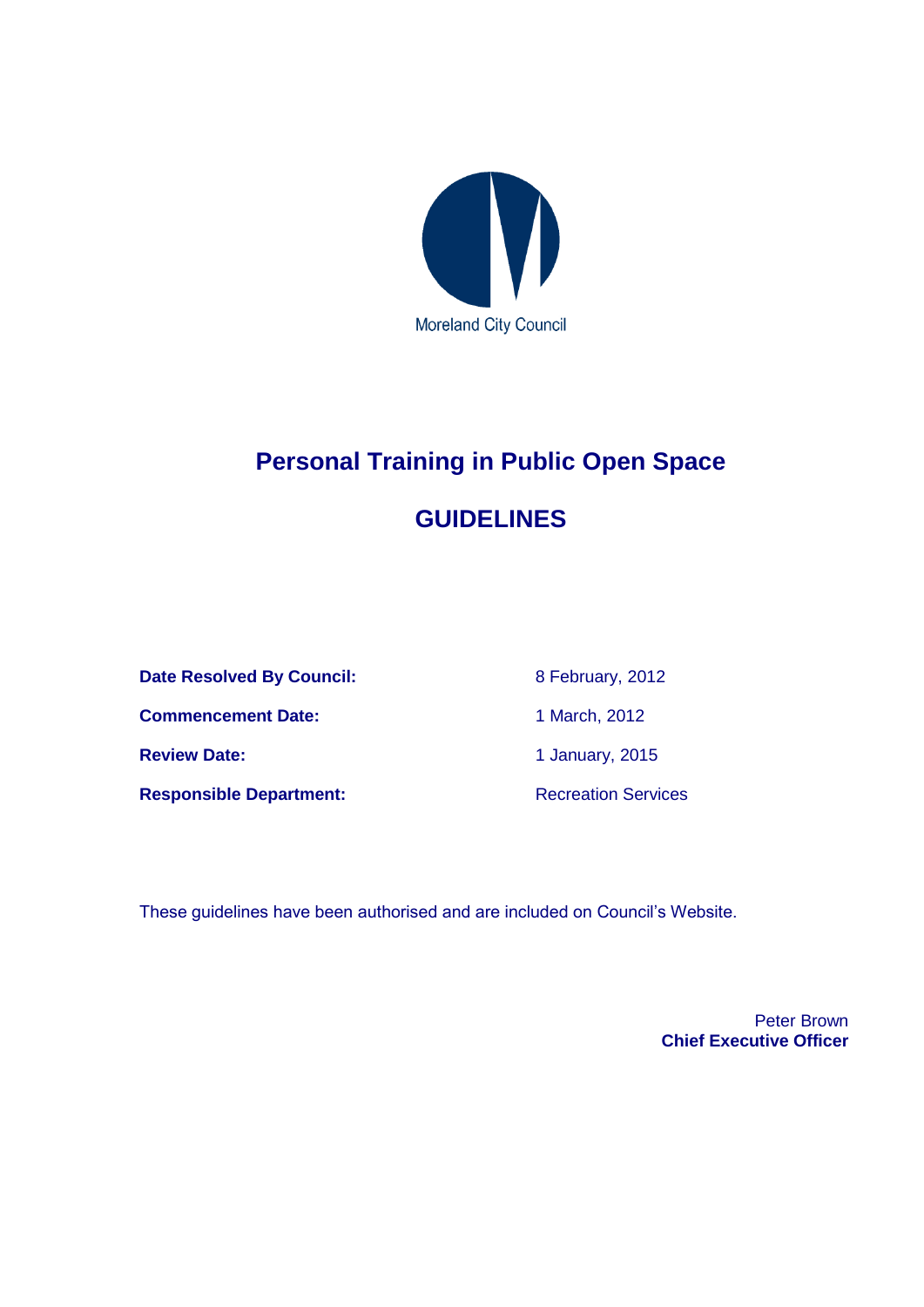

# **Personal Training in Public Open Space GUIDELINES**

**Date Resolved By Council:** 8 February, 2012 **Commencement Date:** 1 March, 2012 **Review Date:** 1 January, 2015

**Responsible Department:** Recreation Services

These guidelines have been authorised and are included on Council's Website.

Peter Brown **Chief Executive Officer**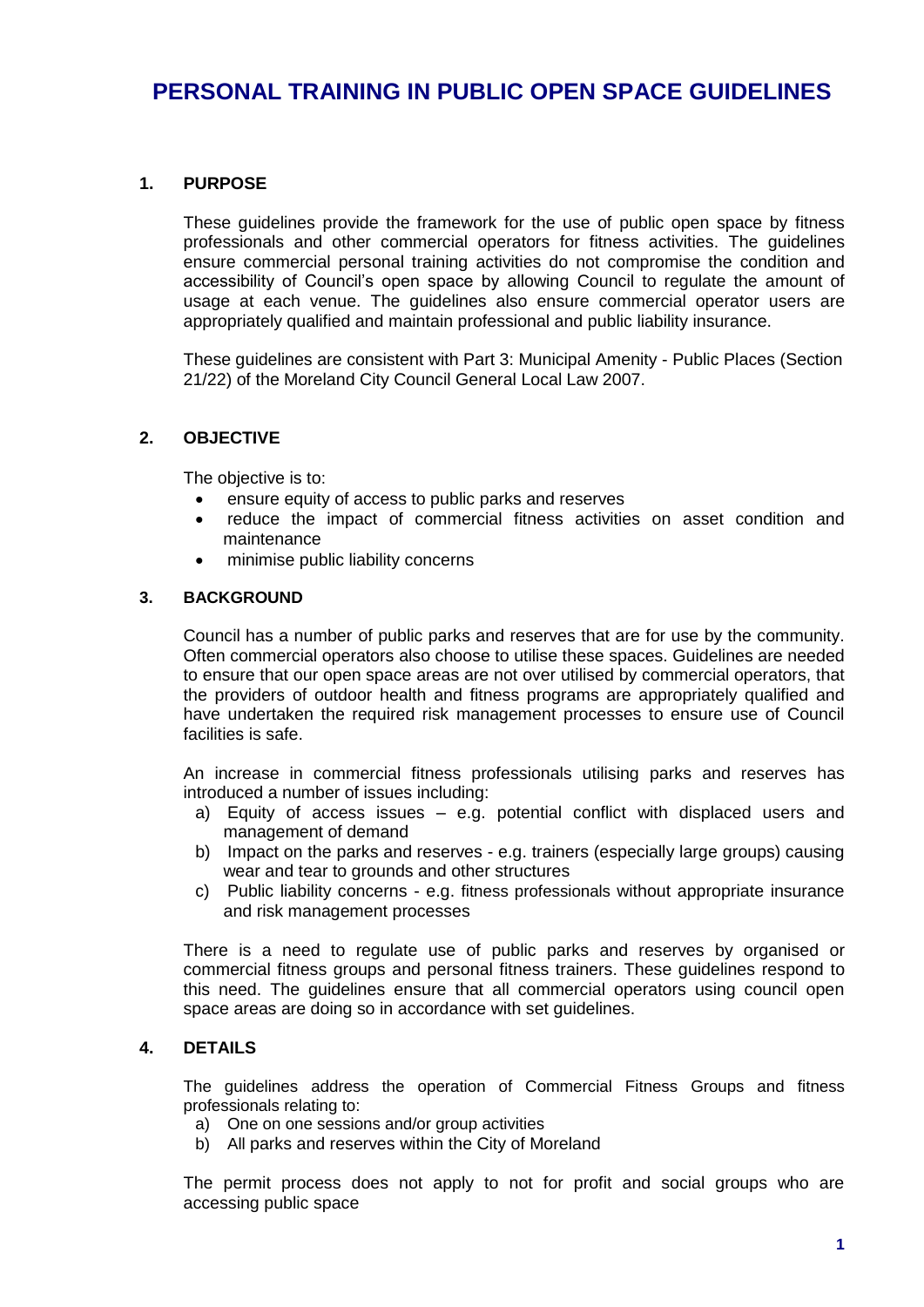### **1. PURPOSE**

These guidelines provide the framework for the use of public open space by fitness professionals and other commercial operators for fitness activities. The guidelines ensure commercial personal training activities do not compromise the condition and accessibility of Council's open space by allowing Council to regulate the amount of usage at each venue. The guidelines also ensure commercial operator users are appropriately qualified and maintain professional and public liability insurance.

These guidelines are consistent with Part 3: Municipal Amenity - Public Places (Section 21/22) of the Moreland City Council General Local Law 2007.

### **2. OBJECTIVE**

The objective is to:

- ensure equity of access to public parks and reserves
- reduce the impact of commercial fitness activities on asset condition and maintenance
- minimise public liability concerns

#### **3. BACKGROUND**

Council has a number of public parks and reserves that are for use by the community. Often commercial operators also choose to utilise these spaces. Guidelines are needed to ensure that our open space areas are not over utilised by commercial operators, that the providers of outdoor health and fitness programs are appropriately qualified and have undertaken the required risk management processes to ensure use of Council facilities is safe.

An increase in commercial fitness professionals utilising parks and reserves has introduced a number of issues including:

- a) Equity of access issues e.g. potential conflict with displaced users and management of demand
- b) Impact on the parks and reserves e.g. trainers (especially large groups) causing wear and tear to grounds and other structures
- c) Public liability concerns e.g. fitness professionals without appropriate insurance and risk management processes

There is a need to regulate use of public parks and reserves by organised or commercial fitness groups and personal fitness trainers. These guidelines respond to this need. The guidelines ensure that all commercial operators using council open space areas are doing so in accordance with set guidelines.

### **4. DETAILS**

The guidelines address the operation of Commercial Fitness Groups and fitness professionals relating to:

- a) One on one sessions and/or group activities
- b) All parks and reserves within the City of Moreland

The permit process does not apply to not for profit and social groups who are accessing public space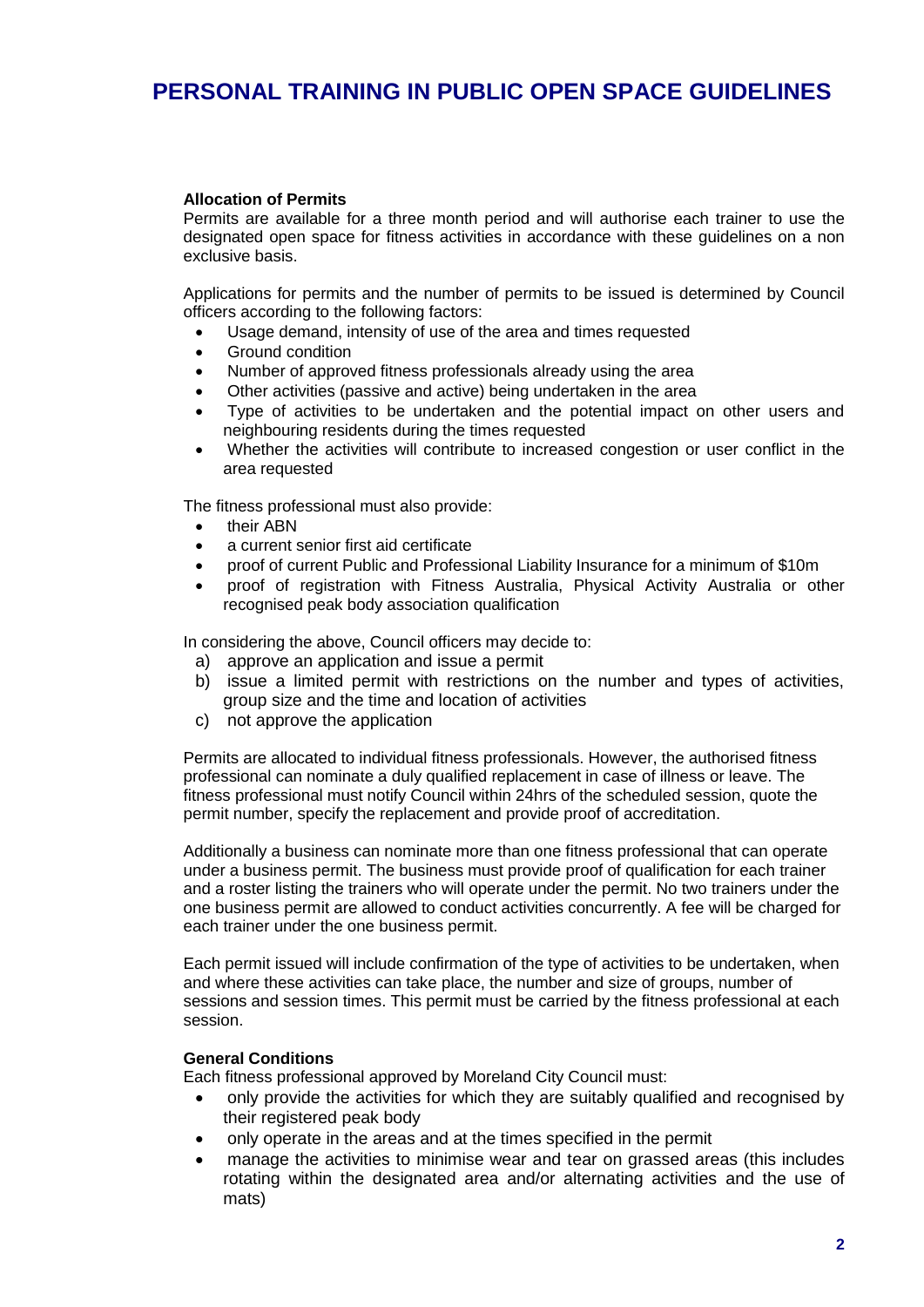#### **Allocation of Permits**

Permits are available for a three month period and will authorise each trainer to use the designated open space for fitness activities in accordance with these guidelines on a non exclusive basis.

Applications for permits and the number of permits to be issued is determined by Council officers according to the following factors:

- Usage demand, intensity of use of the area and times requested
- Ground condition
- Number of approved fitness professionals already using the area
- Other activities (passive and active) being undertaken in the area
- Type of activities to be undertaken and the potential impact on other users and neighbouring residents during the times requested
- Whether the activities will contribute to increased congestion or user conflict in the area requested

The fitness professional must also provide:

- their ABN
- a current senior first aid certificate
- proof of current Public and Professional Liability Insurance for a minimum of \$10m
- proof of registration with Fitness Australia, Physical Activity Australia or other recognised peak body association qualification

In considering the above, Council officers may decide to:

- a) approve an application and issue a permit
- b) issue a limited permit with restrictions on the number and types of activities, group size and the time and location of activities
- c) not approve the application

Permits are allocated to individual fitness professionals. However, the authorised fitness professional can nominate a duly qualified replacement in case of illness or leave. The fitness professional must notify Council within 24hrs of the scheduled session, quote the permit number, specify the replacement and provide proof of accreditation.

Additionally a business can nominate more than one fitness professional that can operate under a business permit. The business must provide proof of qualification for each trainer and a roster listing the trainers who will operate under the permit. No two trainers under the one business permit are allowed to conduct activities concurrently. A fee will be charged for each trainer under the one business permit.

Each permit issued will include confirmation of the type of activities to be undertaken, when and where these activities can take place, the number and size of groups, number of sessions and session times. This permit must be carried by the fitness professional at each session.

#### **General Conditions**

Each fitness professional approved by Moreland City Council must:

- only provide the activities for which they are suitably qualified and recognised by their registered peak body
- only operate in the areas and at the times specified in the permit
- manage the activities to minimise wear and tear on grassed areas (this includes rotating within the designated area and/or alternating activities and the use of mats)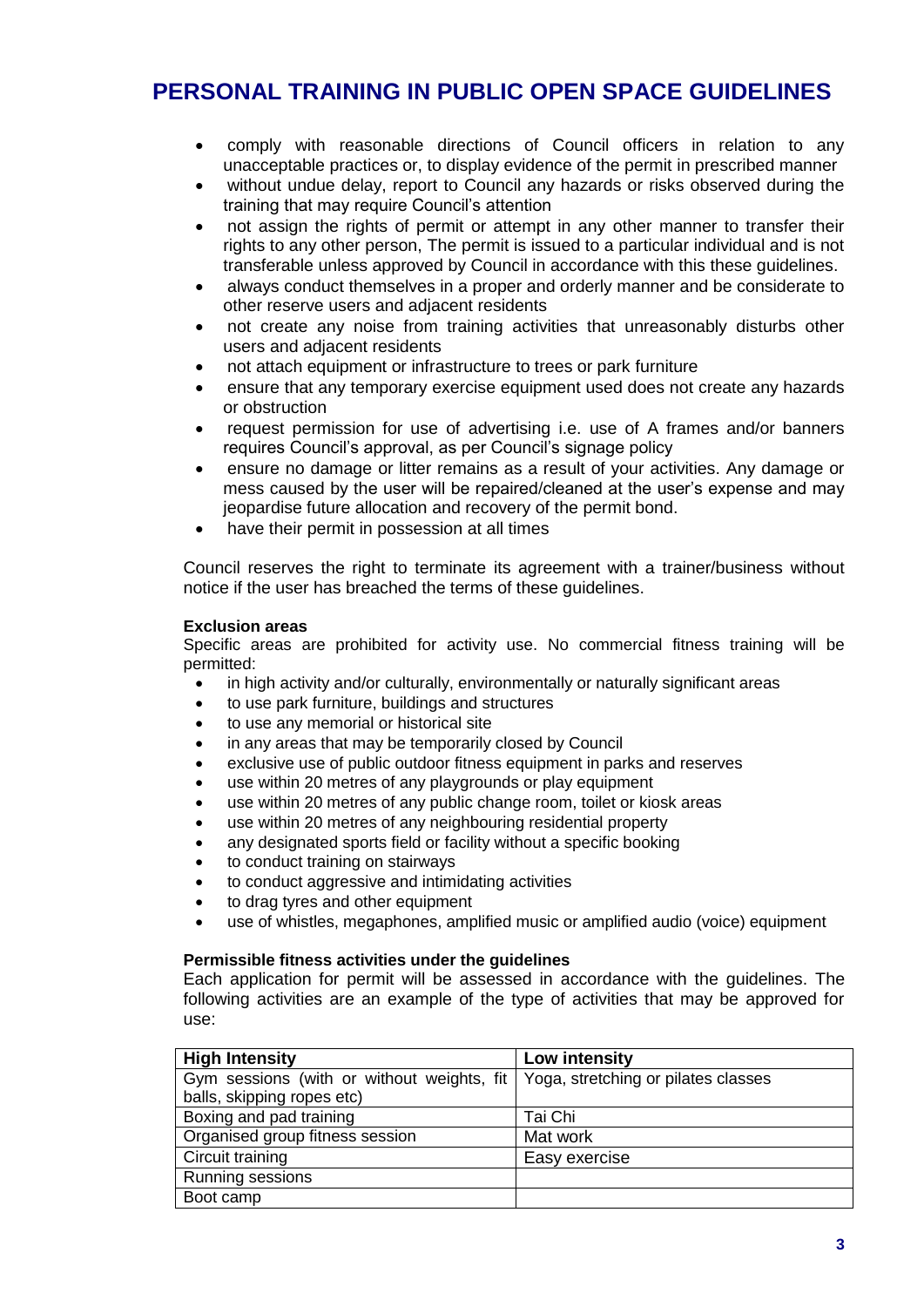- comply with reasonable directions of Council officers in relation to any unacceptable practices or, to display evidence of the permit in prescribed manner
- without undue delay, report to Council any hazards or risks observed during the training that may require Council's attention
- not assign the rights of permit or attempt in any other manner to transfer their rights to any other person, The permit is issued to a particular individual and is not transferable unless approved by Council in accordance with this these guidelines.
- always conduct themselves in a proper and orderly manner and be considerate to other reserve users and adjacent residents
- not create any noise from training activities that unreasonably disturbs other users and adjacent residents
- not attach equipment or infrastructure to trees or park furniture
- ensure that any temporary exercise equipment used does not create any hazards or obstruction
- request permission for use of advertising i.e. use of A frames and/or banners requires Council's approval, as per Council's signage policy
- ensure no damage or litter remains as a result of your activities. Any damage or mess caused by the user will be repaired/cleaned at the user's expense and may jeopardise future allocation and recovery of the permit bond.
- have their permit in possession at all times

Council reserves the right to terminate its agreement with a trainer/business without notice if the user has breached the terms of these guidelines.

#### **Exclusion areas**

Specific areas are prohibited for activity use. No commercial fitness training will be permitted:

- in high activity and/or culturally, environmentally or naturally significant areas
- to use park furniture, buildings and structures
- to use any memorial or historical site
- in any areas that may be temporarily closed by Council
- exclusive use of public outdoor fitness equipment in parks and reserves
- use within 20 metres of any playgrounds or play equipment
- use within 20 metres of any public change room, toilet or kiosk areas
- use within 20 metres of any neighbouring residential property
- any designated sports field or facility without a specific booking
- to conduct training on stairways
- to conduct aggressive and intimidating activities
- to drag tyres and other equipment
- use of whistles, megaphones, amplified music or amplified audio (voice) equipment

#### **Permissible fitness activities under the guidelines**

Each application for permit will be assessed in accordance with the guidelines. The following activities are an example of the type of activities that may be approved for use:

| <b>High Intensity</b>                      | Low intensity                       |
|--------------------------------------------|-------------------------------------|
| Gym sessions (with or without weights, fit | Yoga, stretching or pilates classes |
| balls, skipping ropes etc)                 |                                     |
| Boxing and pad training                    | Tai Chi                             |
| Organised group fitness session            | Mat work                            |
| Circuit training                           | Easy exercise                       |
| Running sessions                           |                                     |
| Boot camp                                  |                                     |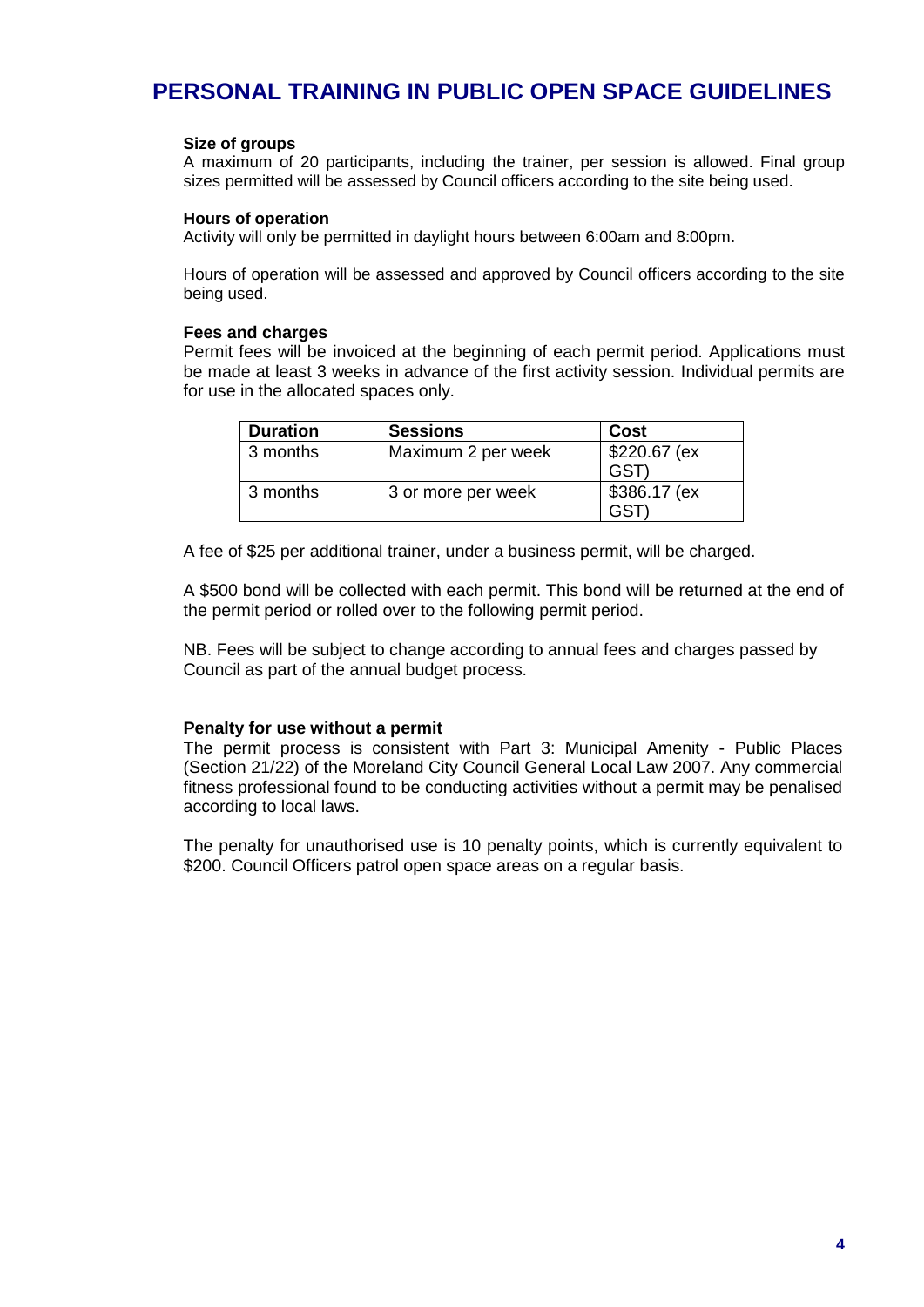#### **Size of groups**

A maximum of 20 participants, including the trainer, per session is allowed. Final group sizes permitted will be assessed by Council officers according to the site being used.

#### **Hours of operation**

Activity will only be permitted in daylight hours between 6:00am and 8:00pm.

Hours of operation will be assessed and approved by Council officers according to the site being used.

#### **Fees and charges**

Permit fees will be invoiced at the beginning of each permit period. Applications must be made at least 3 weeks in advance of the first activity session. Individual permits are for use in the allocated spaces only.

| <b>Duration</b> | <b>Sessions</b>    | Cost                       |
|-----------------|--------------------|----------------------------|
| 3 months        | Maximum 2 per week | \$220.67 (ex<br><b>GST</b> |
| 3 months        | 3 or more per week | \$386.17 (ex<br>GST        |

A fee of \$25 per additional trainer, under a business permit, will be charged.

A \$500 bond will be collected with each permit. This bond will be returned at the end of the permit period or rolled over to the following permit period.

NB. Fees will be subject to change according to annual fees and charges passed by Council as part of the annual budget process.

#### **Penalty for use without a permit**

The permit process is consistent with Part 3: Municipal Amenity - Public Places (Section 21/22) of the Moreland City Council General Local Law 2007. Any commercial fitness professional found to be conducting activities without a permit may be penalised according to local laws.

The penalty for unauthorised use is 10 penalty points, which is currently equivalent to \$200. Council Officers patrol open space areas on a regular basis.